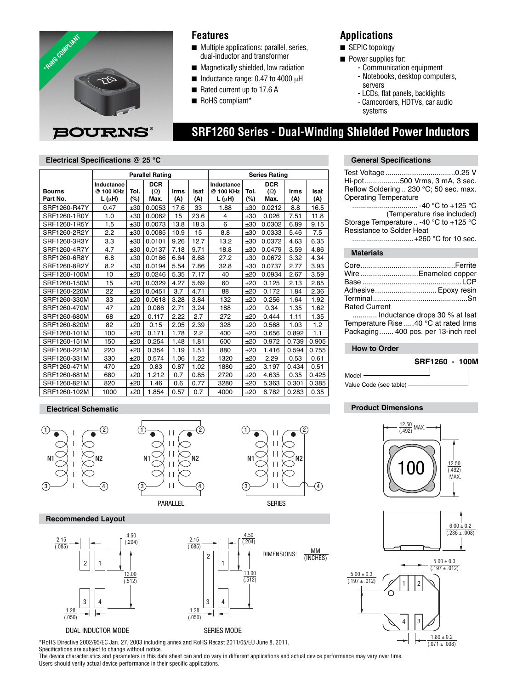

### **Features**

- Multiple applications: parallel, series, dual-inductor and transformer
- Magnetically shielded, low radiation
- $\blacksquare$  Inductance range: 0.47 to 4000  $\mu$ H
- Rated current up to 17.6 A
- RoHS compliant\*

## **Applications**

■ SEPIC topology

 **SRF1260 Series - Dual-Winding Shielded Power Inductors**

- Power supplies for:
	- Communication equipment
	- Notebooks, desktop computers, servers
	- LCDs, flat panels, backlights
	- Camcorders, HDTVs, car audio systems

### **Electrical Specifications @ 25 °C**

|                           | <b>Parallel Rating</b>                |                |                                  |             |             | <b>Series Rating</b>                  |                |                                  |             |             |  |
|---------------------------|---------------------------------------|----------------|----------------------------------|-------------|-------------|---------------------------------------|----------------|----------------------------------|-------------|-------------|--|
| <b>Bourns</b><br>Part No. | Inductance<br>@ 100 KHz<br>$L(\mu H)$ | Tol.<br>$(\%)$ | <b>DCR</b><br>$(\Omega)$<br>Max. | Irms<br>(A) | Isat<br>(A) | Inductance<br>@ 100 KHz<br>$L(\mu H)$ | Tol.<br>$(\%)$ | <b>DCR</b><br>$(\Omega)$<br>Max. | Irms<br>(A) | Isat<br>(A) |  |
| SRF1260-R47Y              | 0.47                                  | ±30            | 0.0053                           | 17.6        | 33          | 1.88                                  | ±30            | 0.0212                           | 8.8         | 16.5        |  |
| SRF1260-1R0Y              | 1.0                                   | ±30            | 0.0062                           | 15          | 23.6        | 4                                     | ±30            | 0.026                            | 7.51        | 11.8        |  |
| SRF1260-1R5Y              | 1.5                                   | ±30            | 0.0073                           | 13.8        | 18.3        | 6                                     | ±30            | 0.0302                           | 6.89        | 9.15        |  |
| SRF1260-2R2Y              | 2.2                                   | ±30            | 0.0085                           | 10.9        | 15          | 8.8                                   | ±30            | 0.0333                           | 5.46        | 7.5         |  |
| SRF1260-3R3Y              | 3.3                                   | ±30            | 0.0101                           | 9.26        | 12.7        | 13.2                                  | ±30            | 0.0372                           | 4.63        | 6.35        |  |
| SRF1260-4R7Y              | 4.7                                   | ±30            | 0.0137                           | 7.18        | 9.71        | 18.8                                  | ±30            | 0.0479                           | 3.59        | 4.86        |  |
| SRF1260-6R8Y              | 6.8                                   | ±30            | 0.0186                           | 6.64        | 8.68        | 27.2                                  | ±30            | 0.0672                           | 3.32        | 4.34        |  |
| SRF1260-8R2Y              | 8.2                                   | ±30            | 0.0194                           | 5.54        | 7.86        | 32.8                                  | ±30            | 0.0737                           | 2.77        | 3.93        |  |
| SRF1260-100M              | 10                                    | ±20            | 0.0246                           | 5.35        | 7.17        | 40                                    | ±20            | 0.0934                           | 2.67        | 3.59        |  |
| SRF1260-150M              | 15                                    | ±20            | 0.0329                           | 4.27        | 5.69        | 60                                    | ±20            | 0.125                            | 2.13        | 2.85        |  |
| SRF1260-220M              | 22                                    | ±20            | 0.0451                           | 3.7         | 4.71        | 88                                    | ±20            | 0.172                            | 1.84        | 2.36        |  |
| SRF1260-330M              | 33                                    | ±20            | 0.0618                           | 3.28        | 3.84        | 132                                   | ±20            | 0.256                            | 1.64        | 1.92        |  |
| SRF1260-470M              | 47                                    | ±20            | 0.086                            | 2.71        | 3.24        | 188                                   | ±20            | 0.34                             | 1.35        | 1.62        |  |
| SRF1260-680M              | 68                                    | ±20            | 0.117                            | 2.22        | 2.7         | 272                                   | ±20            | 0.444                            | 1.11        | 1.35        |  |
| SRF1260-820M              | 82                                    | ±20            | 0.15                             | 2.05        | 2.39        | 328                                   | ±20            | 0.568                            | 1.03        | 1.2         |  |
| SRF1260-101M              | 100                                   | ±20            | 0.171                            | 1.78        | 2.2         | 400                                   | ±20            | 0.656                            | 0.892       | 1.1         |  |
| SRF1260-151M              | 150                                   | ±20            | 0.254                            | 1.48        | 1.81        | 600                                   | ±20            | 0.972                            | 0.739       | 0.905       |  |
| SRF1260-221M              | 220                                   | ±20            | 0.354                            | 1.19        | 1.51        | 880                                   | ±20            | 1.416                            | 0.594       | 0.755       |  |
| SRF1260-331M              | 330                                   | ±20            | 0.574                            | 1.06        | 1.22        | 1320                                  | ±20            | 2.29                             | 0.53        | 0.61        |  |
| SRF1260-471M              | 470                                   | ±20            | 0.83                             | 0.87        | 1.02        | 1880                                  | ±20            | 3.197                            | 0.434       | 0.51        |  |
| SRF1260-681M              | 680                                   | ±20            | 1.212                            | 0.7         | 0.85        | 2720                                  | ±20            | 4.635                            | 0.35        | 0.425       |  |
| SRF1260-821M              | 820                                   | ±20            | 1.46                             | 0.6         | 0.77        | 3280                                  | ±20            | 5.363                            | 0.301       | 0.385       |  |
| SRF1260-102M              | 1000                                  | ±20            | 1.854                            | 0.57        | 0.7         | 4000                                  | ±20            | 6.782                            | 0.283       | 0.35        |  |

# **General Specifications**

| Hi-pot500 Vrms, 3 mA, 3 sec.           |
|----------------------------------------|
| Reflow Soldering  230 °C; 50 sec. max. |
| <b>Operating Temperature</b>           |
| -40 °C to +125 °C                      |
| (Temperature rise included)            |
| Storage Temperature  -40 °C to +125 °C |
| Resistance to Solder Heat              |
| +260 °C for 10 sec.                    |
| <b>Materials</b>                       |
|                                        |

|                      | Wire Enameled copper                                                                                                                                                                                                                                                                                        |
|----------------------|-------------------------------------------------------------------------------------------------------------------------------------------------------------------------------------------------------------------------------------------------------------------------------------------------------------|
|                      |                                                                                                                                                                                                                                                                                                             |
|                      | Adhesive Epoxy resin                                                                                                                                                                                                                                                                                        |
|                      |                                                                                                                                                                                                                                                                                                             |
| <b>Rated Current</b> |                                                                                                                                                                                                                                                                                                             |
|                      | $\mathbf{r}$ , $\mathbf{r}$ , $\mathbf{r}$ , $\mathbf{r}$ , $\mathbf{r}$ , $\mathbf{r}$ , $\mathbf{r}$ , $\mathbf{r}$ , $\mathbf{r}$ , $\mathbf{r}$ , $\mathbf{r}$ , $\mathbf{r}$ , $\mathbf{r}$ , $\mathbf{r}$ , $\mathbf{r}$ , $\mathbf{r}$ , $\mathbf{r}$ , $\mathbf{r}$ , $\mathbf{r}$ , $\mathbf{r}$ , |

 ............ Inductance drops 30 % at Isat Temperature Rise .....40 °C at rated Irms Packaging ....... 400 pcs. per 13-inch reel

### **How to Order**



Model Value Code (see table)

### **Product Dimensions**

# $\frac{12.50}{(.492)}$  MAX. 12.50  $\Omega$ (.492) MAX.



### **Electrical Schematic**







DIMENSIONS:  $\frac{MM}{MM}$ 

(INCHES)

#### **Recommended Layout**





\*RoHS Directive 2002/95/EC Jan. 27, 2003 including annex and RoHS Recast 2011/65/EU June 8, 2011.

Specifications are subject to change without notice. The device characteristics and parameters in this data sheet can and do vary in different applications and actual device performance may vary over time. Users should verify actual device performance in their specific applications.

1 2

4.50 (.204)

13.00 (.512)

3

 $\frac{1.28}{(.050)}$ 

2.15 (.085)